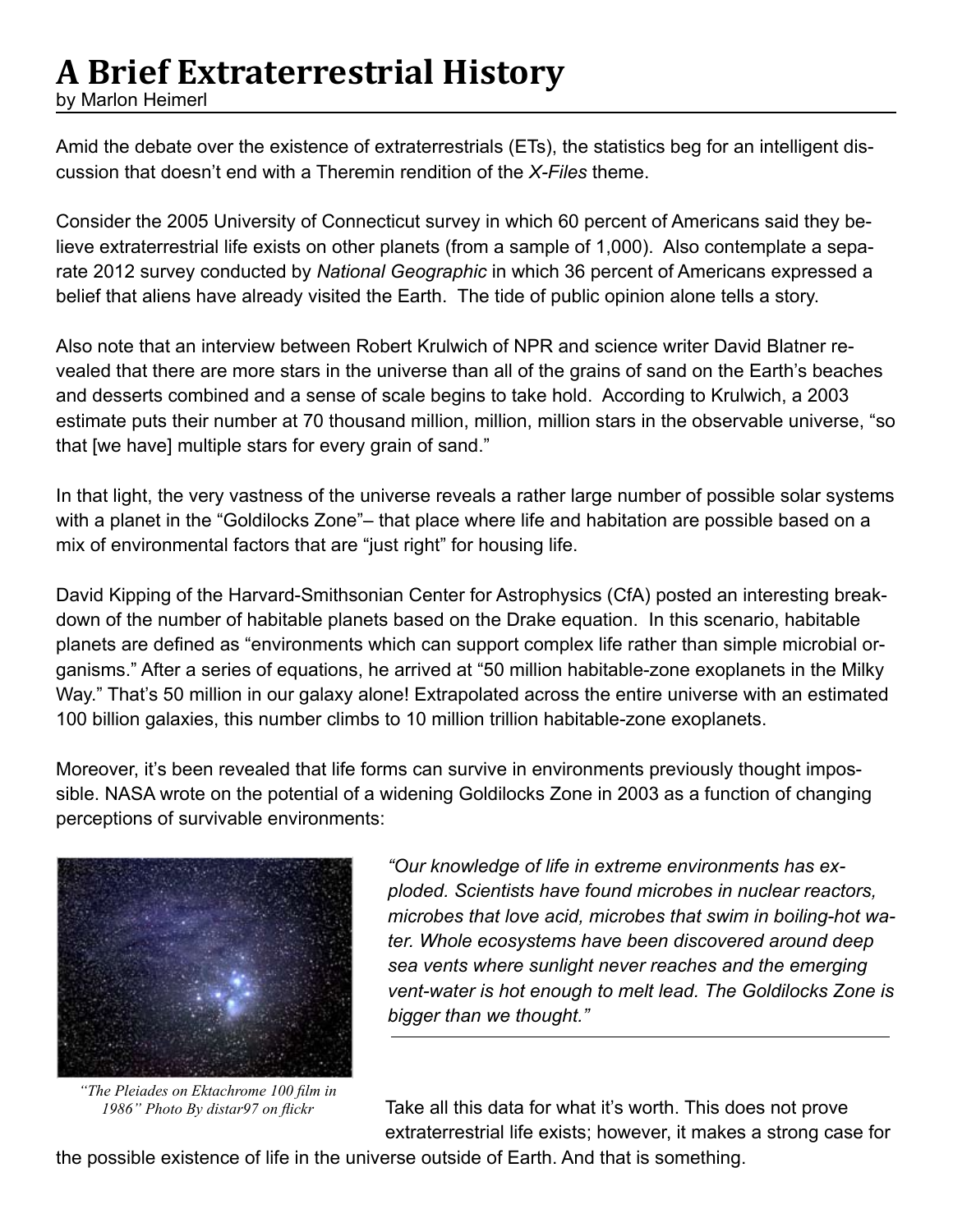# **A Brief Extraterrestrial History**

by Marlon Heimerl

Amid the debate over the existence of extraterrestrials (ETs), the statistics beg for an intelligent discussion that doesn't end with a Theremin rendition of the *X-Files* theme.

Consider the 2005 University of Connecticut survey in which 60 percent of Americans said they believe extraterrestrial life exists on other planets (from a sample of 1,000). Also contemplate a separate 2012 survey conducted by *National Geographic* in which 36 percent of Americans expressed a belief that aliens have already visited the Earth. The tide of public opinion alone tells a story.

Also note that an interview between Robert Krulwich of NPR and science writer David Blatner revealed that there are more stars in the universe than all of the grains of sand on the Earth's beaches and desserts combined and a sense of scale begins to take hold. According to Krulwich, a 2003 estimate puts their number at 70 thousand million, million, million stars in the observable universe, "so that [we have] multiple stars for every grain of sand."

In that light, the very vastness of the universe reveals a rather large number of possible solar systems with a planet in the "Goldilocks Zone"– that place where life and habitation are possible based on a mix of environmental factors that are "just right" for housing life.

David Kipping of the Harvard-Smithsonian Center for Astrophysics (CfA) posted an interesting breakdown of the number of habitable planets based on the Drake equation. In this scenario, habitable planets are defined as "environments which can support complex life rather than simple microbial organisms." After a series of equations, he arrived at "50 million habitable-zone exoplanets in the Milky Way." That's 50 million in our galaxy alone! Extrapolated across the entire universe with an estimated 100 billion galaxies, this number climbs to 10 million trillion habitable-zone exoplanets.

Moreover, it's been revealed that life forms can survive in environments previously thought impossible. NASA wrote on the potential of a widening Goldilocks Zone in 2003 as a function of changing perceptions of survivable environments:



*"The Pleiades on Ektachrome 100 film in 1986" Photo By distar97 on flickr*

*"Our knowledge of life in extreme environments has exploded. Scientists have found microbes in nuclear reactors, microbes that love acid, microbes that swim in boiling-hot water. Whole ecosystems have been discovered around deep sea vents where sunlight never reaches and the emerging vent-water is hot enough to melt lead. The Goldilocks Zone is bigger than we thought."*

Take all this data for what it's worth. This does not prove extraterrestrial life exists; however, it makes a strong case for

the possible existence of life in the universe outside of Earth. And that is something.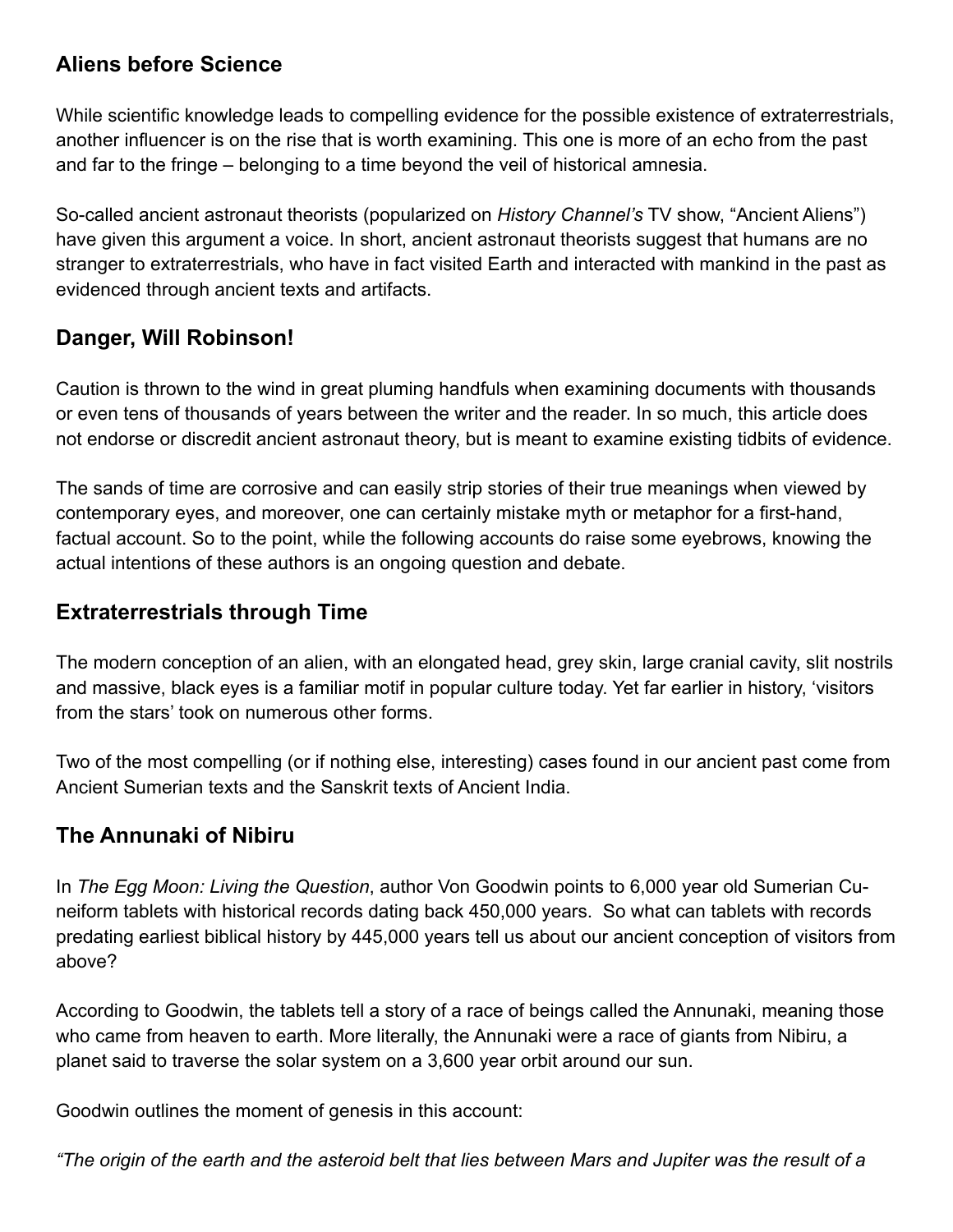### **Aliens before Science**

While scientific knowledge leads to compelling evidence for the possible existence of extraterrestrials, another influencer is on the rise that is worth examining. This one is more of an echo from the past and far to the fringe – belonging to a time beyond the veil of historical amnesia.

So-called ancient astronaut theorists (popularized on *History Channel's* TV show, "Ancient Aliens") have given this argument a voice. In short, ancient astronaut theorists suggest that humans are no stranger to extraterrestrials, who have in fact visited Earth and interacted with mankind in the past as evidenced through ancient texts and artifacts.

### **Danger, Will Robinson!**

Caution is thrown to the wind in great pluming handfuls when examining documents with thousands or even tens of thousands of years between the writer and the reader. In so much, this article does not endorse or discredit ancient astronaut theory, but is meant to examine existing tidbits of evidence.

The sands of time are corrosive and can easily strip stories of their true meanings when viewed by contemporary eyes, and moreover, one can certainly mistake myth or metaphor for a first-hand, factual account. So to the point, while the following accounts do raise some eyebrows, knowing the actual intentions of these authors is an ongoing question and debate.

#### **Extraterrestrials through Time**

The modern conception of an alien, with an elongated head, grey skin, large cranial cavity, slit nostrils and massive, black eyes is a familiar motif in popular culture today. Yet far earlier in history, 'visitors from the stars' took on numerous other forms.

Two of the most compelling (or if nothing else, interesting) cases found in our ancient past come from Ancient Sumerian texts and the Sanskrit texts of Ancient India.

# **The Annunaki of Nibiru**

In *The Egg Moon: Living the Question*, author Von Goodwin points to 6,000 year old Sumerian Cuneiform tablets with historical records dating back 450,000 years. So what can tablets with records predating earliest biblical history by 445,000 years tell us about our ancient conception of visitors from above?

According to Goodwin, the tablets tell a story of a race of beings called the Annunaki, meaning those who came from heaven to earth. More literally, the Annunaki were a race of giants from Nibiru, a planet said to traverse the solar system on a 3,600 year orbit around our sun.

Goodwin outlines the moment of genesis in this account:

*"The origin of the earth and the asteroid belt that lies between Mars and Jupiter was the result of a*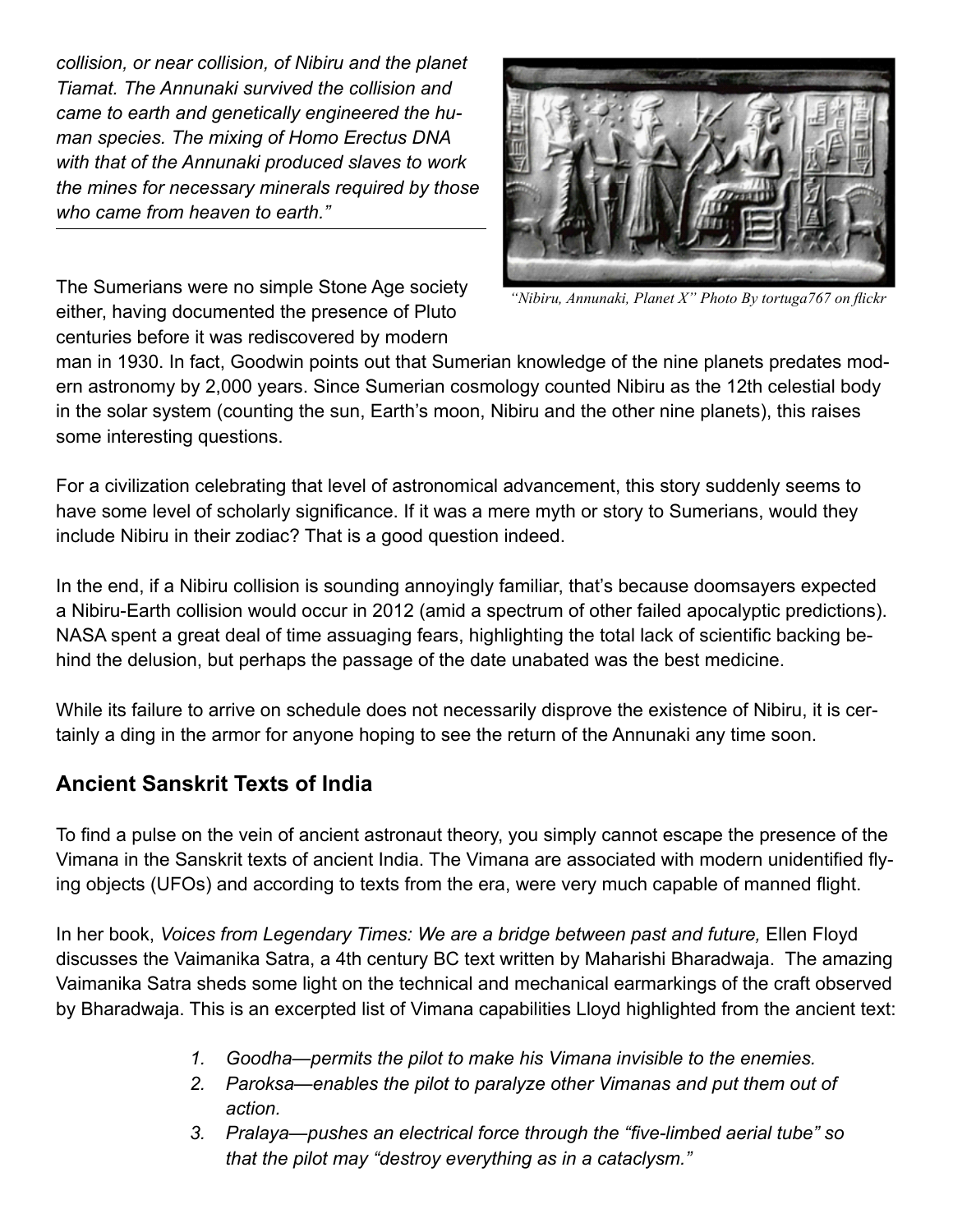*collision, or near collision, of Nibiru and the planet Tiamat. The Annunaki survived the collision and came to earth and genetically engineered the human species. The mixing of Homo Erectus DNA with that of the Annunaki produced slaves to work the mines for necessary minerals required by those who came from heaven to earth."* 



The Sumerians were no simple Stone Age society either, having documented the presence of Pluto centuries before it was rediscovered by modern

*"Nibiru, Annunaki, Planet X" Photo By tortuga767 on flickr*

man in 1930. In fact, Goodwin points out that Sumerian knowledge of the nine planets predates modern astronomy by 2,000 years. Since Sumerian cosmology counted Nibiru as the 12th celestial body in the solar system (counting the sun, Earth's moon, Nibiru and the other nine planets), this raises some interesting questions.

For a civilization celebrating that level of astronomical advancement, this story suddenly seems to have some level of scholarly significance. If it was a mere myth or story to Sumerians, would they include Nibiru in their zodiac? That is a good question indeed.

In the end, if a Nibiru collision is sounding annoyingly familiar, that's because doomsayers expected a Nibiru-Earth collision would occur in 2012 (amid a spectrum of other failed apocalyptic predictions). NASA spent a great deal of time assuaging fears, highlighting the total lack of scientific backing behind the delusion, but perhaps the passage of the date unabated was the best medicine.

While its failure to arrive on schedule does not necessarily disprove the existence of Nibiru, it is certainly a ding in the armor for anyone hoping to see the return of the Annunaki any time soon.

# **Ancient Sanskrit Texts of India**

To find a pulse on the vein of ancient astronaut theory, you simply cannot escape the presence of the Vimana in the Sanskrit texts of ancient India. The Vimana are associated with modern unidentified flying objects (UFOs) and according to texts from the era, were very much capable of manned flight.

In her book, *Voices from Legendary Times: We are a bridge between past and future,* Ellen Floyd discusses the Vaimanika Satra, a 4th century BC text written by Maharishi Bharadwaja. The amazing Vaimanika Satra sheds some light on the technical and mechanical earmarkings of the craft observed by Bharadwaja. This is an excerpted list of Vimana capabilities Lloyd highlighted from the ancient text:

- *1. Goodha—permits the pilot to make his Vimana invisible to the enemies.*
- *2. Paroksa—enables the pilot to paralyze other Vimanas and put them out of action.*
- *3. Pralaya—pushes an electrical force through the "five-limbed aerial tube" so that the pilot may "destroy everything as in a cataclysm."*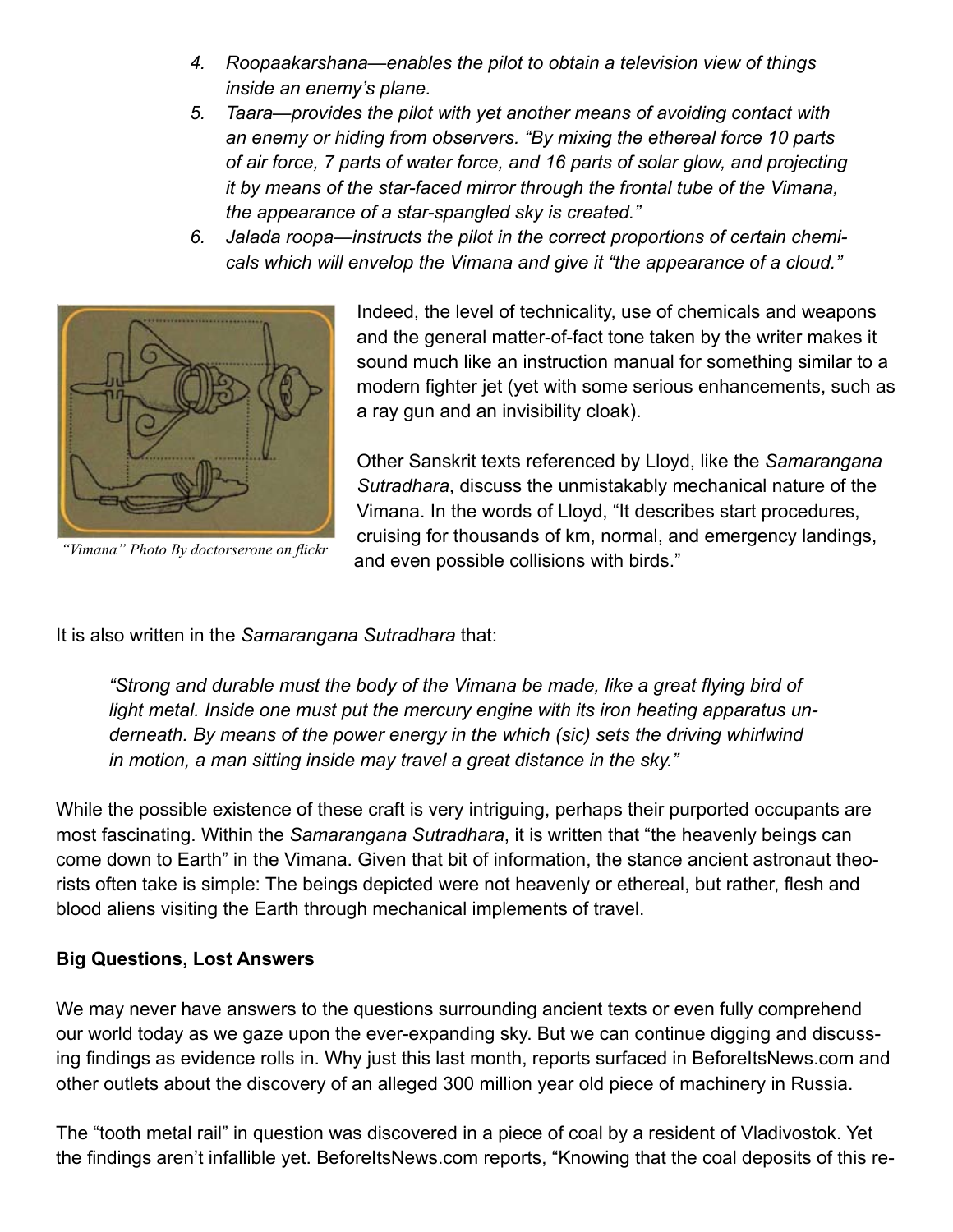- *4. Roopaakarshana—enables the pilot to obtain a television view of things inside an enemy's plane.*
- *5. Taara—provides the pilot with yet another means of avoiding contact with an enemy or hiding from observers. "By mixing the ethereal force 10 parts of air force, 7 parts of water force, and 16 parts of solar glow, and projecting it by means of the star-faced mirror through the frontal tube of the Vimana, the appearance of a star-spangled sky is created."*
- *6. Jalada roopa—instructs the pilot in the correct proportions of certain chemicals which will envelop the Vimana and give it "the appearance of a cloud."*



*"Vimana" Photo By doctorserone on flickr*

Indeed, the level of technicality, use of chemicals and weapons and the general matter-of-fact tone taken by the writer makes it sound much like an instruction manual for something similar to a modern fighter jet (yet with some serious enhancements, such as a ray gun and an invisibility cloak).

Other Sanskrit texts referenced by Lloyd, like the *Samarangana Sutradhara*, discuss the unmistakably mechanical nature of the Vimana. In the words of Lloyd, "It describes start procedures, cruising for thousands of km, normal, and emergency landings, and even possible collisions with birds."

It is also written in the *Samarangana Sutradhara* that:

*"Strong and durable must the body of the Vimana be made, like a great flying bird of light metal. Inside one must put the mercury engine with its iron heating apparatus underneath. By means of the power energy in the which (sic) sets the driving whirlwind in motion, a man sitting inside may travel a great distance in the sky."* 

While the possible existence of these craft is very intriguing, perhaps their purported occupants are most fascinating. Within the *Samarangana Sutradhara*, it is written that "the heavenly beings can come down to Earth" in the Vimana. Given that bit of information, the stance ancient astronaut theorists often take is simple: The beings depicted were not heavenly or ethereal, but rather, flesh and blood aliens visiting the Earth through mechanical implements of travel.

#### **Big Questions, Lost Answers**

We may never have answers to the questions surrounding ancient texts or even fully comprehend our world today as we gaze upon the ever-expanding sky. But we can continue digging and discussing findings as evidence rolls in. Why just this last month, reports surfaced in BeforeItsNews.com and other outlets about the discovery of an alleged 300 million year old piece of machinery in Russia.

The "tooth metal rail" in question was discovered in a piece of coal by a resident of Vladivostok. Yet the findings aren't infallible yet. BeforeItsNews.com reports, "Knowing that the coal deposits of this re